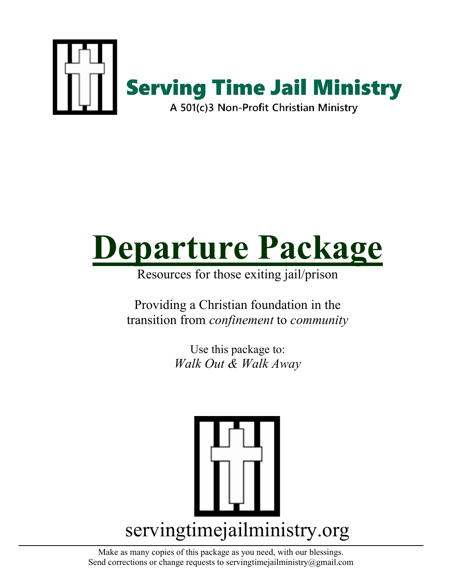

# **Departure Package**

Resources for those exiting jail/prison

Providing a Christian foundation in the transition from *confinement* to *community*

> Use this package to: *Walk Out & Walk Away*



Make as many copies of this package as you need, with our blessings. Send corrections or change requests to servingtime jailministry  $@g$  mail.com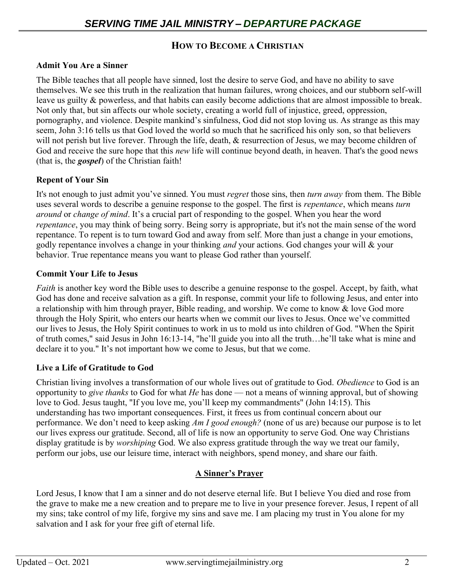## **HOW TO BECOME A CHRISTIAN**

#### **Admit You Are a Sinner**

The Bible teaches that all people have sinned, lost the desire to serve God, and have no ability to save themselves. We see this truth in the realization that human failures, wrong choices, and our stubborn self-will leave us guilty & powerless, and that habits can easily become addictions that are almost impossible to break. Not only that, but sin affects our whole society, creating a world full of injustice, greed, oppression, pornography, and violence. Despite mankind's sinfulness, God did not stop loving us. As strange as this may seem, John 3:16 tells us that God loved the world so much that he sacrificed his only son, so that believers will not perish but live forever. Through the life, death, & resurrection of Jesus, we may become children of God and receive the sure hope that this *new* life will continue beyond death, in heaven. That's the good news (that is, the *gospel*) of the Christian faith!

#### **Repent of Your Sin**

It's not enough to just admit you've sinned. You must *regret* those sins, then *turn away* from them. The Bible uses several words to describe a genuine response to the gospel. The first is *repentance*, which means *turn around* or *change of mind*. It's a crucial part of responding to the gospel. When you hear the word *repentance*, you may think of being sorry. Being sorry is appropriate, but it's not the main sense of the word repentance. To repent is to turn toward God and away from self. More than just a change in your emotions, godly repentance involves a change in your thinking *and* your actions. God changes your will & your behavior. True repentance means you want to please God rather than yourself.

#### **Commit Your Life to Jesus**

*Faith* is another key word the Bible uses to describe a genuine response to the gospel. Accept, by faith, what God has done and receive salvation as a gift. In response, commit your life to following Jesus, and enter into a relationship with him through prayer, Bible reading, and worship. We come to know & love God more through the Holy Spirit, who enters our hearts when we commit our lives to Jesus. Once we've committed our lives to Jesus, the Holy Spirit continues to work in us to mold us into children of God. "When the Spirit of truth comes," said Jesus in John 16:13-14, "he'll guide you into all the truth…he'll take what is mine and declare it to you." It's not important how we come to Jesus, but that we come.

## **Live a Life of Gratitude to God**

Christian living involves a transformation of our whole lives out of gratitude to God. *Obedience* to God is an opportunity to *give thanks* to God for what *He* has done — not a means of winning approval, but of showing love to God. Jesus taught, "If you love me, you'll keep my commandments" (John 14:15). This understanding has two important consequences. First, it frees us from continual concern about our performance. We don't need to keep asking *Am I good enough?* (none of us are) because our purpose is to let our lives express our gratitude. Second, all of life is now an opportunity to serve God. One way Christians display gratitude is by *worshiping* God. We also express gratitude through the way we treat our family, perform our jobs, use our leisure time, interact with neighbors, spend money, and share our faith.

## **A Sinner's Prayer**

Lord Jesus, I know that I am a sinner and do not deserve eternal life. But I believe You died and rose from the grave to make me a new creation and to prepare me to live in your presence forever. Jesus, I repent of all my sins; take control of my life, forgive my sins and save me. I am placing my trust in You alone for my salvation and I ask for your free gift of eternal life.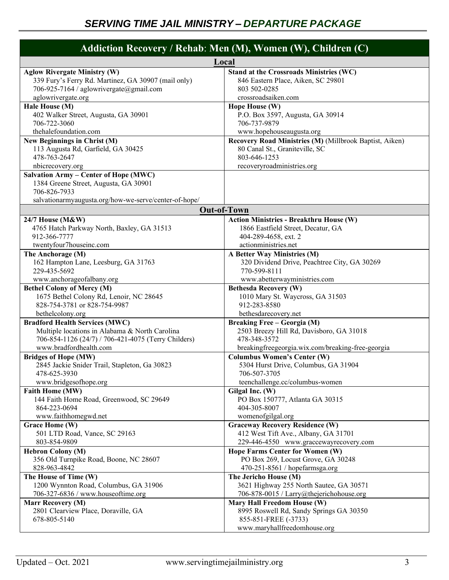| Addiction Recovery / Rehab: Men (M), Women (W), Children (C)                                                                                                   |                                                                                                                                                                     |  |
|----------------------------------------------------------------------------------------------------------------------------------------------------------------|---------------------------------------------------------------------------------------------------------------------------------------------------------------------|--|
|                                                                                                                                                                | Local                                                                                                                                                               |  |
| <b>Aglow Rivergate Ministry (W)</b>                                                                                                                            | Stand at the Crossroads Ministries (WC)                                                                                                                             |  |
| 339 Fury's Ferry Rd. Martinez, GA 30907 (mail only)                                                                                                            | 846 Eastern Place, Aiken, SC 29801                                                                                                                                  |  |
| 706-925-7164 / aglowrivergate@gmail.com                                                                                                                        | 803 502-0285                                                                                                                                                        |  |
| aglowrivergate.org                                                                                                                                             | crossroadsaiken.com                                                                                                                                                 |  |
| Hale House (M)<br>402 Walker Street, Augusta, GA 30901<br>706-722-3060<br>thehalefoundation.com                                                                | Hope House (W)<br>P.O. Box 3597, Augusta, GA 30914<br>706-737-9879                                                                                                  |  |
| New Beginnings in Christ (M)<br>113 Augusta Rd, Garfield, GA 30425<br>478-763-2647<br>nbicrecovery.org                                                         | www.hopehouseaugusta.org<br>Recovery Road Ministries (M) (Millbrook Baptist, Aiken)<br>80 Canal St., Graniteville, SC<br>803-646-1253<br>recoveryroadministries.org |  |
| <b>Salvation Army - Center of Hope (MWC)</b><br>1384 Greene Street, Augusta, GA 30901<br>706-826-7933<br>salvationarmyaugusta.org/how-we-serve/center-of-hope/ |                                                                                                                                                                     |  |
|                                                                                                                                                                | <b>Out-of-Town</b>                                                                                                                                                  |  |
| 24/7 House (M&W)                                                                                                                                               | <b>Action Ministries - Breakthru House (W)</b>                                                                                                                      |  |
| 4765 Hatch Parkway North, Baxley, GA 31513                                                                                                                     | 1866 Eastfield Street, Decatur, GA                                                                                                                                  |  |
| 912-366-7777                                                                                                                                                   | 404-289-4658, ext. 2                                                                                                                                                |  |
| twentyfour7houseinc.com                                                                                                                                        | actionministries.net                                                                                                                                                |  |
| The Anchorage (M)                                                                                                                                              | A Better Way Ministries (M)                                                                                                                                         |  |
| 162 Hampton Lane, Leesburg, GA 31763                                                                                                                           | 320 Dividend Drive, Peachtree City, GA 30269                                                                                                                        |  |
| 229-435-5692                                                                                                                                                   | 770-599-8111                                                                                                                                                        |  |
| www.anchorageofalbany.org                                                                                                                                      | www.abetterwayministries.com                                                                                                                                        |  |
| <b>Bethel Colony of Mercy (M)</b>                                                                                                                              | <b>Bethesda Recovery (W)</b>                                                                                                                                        |  |
| 1675 Bethel Colony Rd, Lenoir, NC 28645                                                                                                                        | 1010 Mary St. Waycross, GA 31503                                                                                                                                    |  |
| 828-754-3781 or 828-754-9987                                                                                                                                   | 912-283-8580                                                                                                                                                        |  |
| bethelcolony.org                                                                                                                                               | bethesdarecovery.net                                                                                                                                                |  |
| <b>Bradford Health Services (MWC)</b>                                                                                                                          | Breaking Free - Georgia (M)                                                                                                                                         |  |
| Multiple locations in Alabama & North Carolina                                                                                                                 | 2503 Breezy Hill Rd, Davisboro, GA 31018                                                                                                                            |  |
| 706-854-1126 (24/7) / 706-421-4075 (Terry Childers)                                                                                                            | 478-348-3572                                                                                                                                                        |  |
| www.bradfordhealth.com                                                                                                                                         | breakingfreegeorgia.wix.com/breaking-free-georgia                                                                                                                   |  |
| <b>Bridges of Hope (MW)</b>                                                                                                                                    | <b>Columbus Women's Center (W)</b>                                                                                                                                  |  |
| 2845 Jackie Snider Trail, Stapleton, Ga 30823                                                                                                                  | 5304 Hurst Drive, Columbus, GA 31904                                                                                                                                |  |
| 478-625-3930                                                                                                                                                   | 706-507-3705                                                                                                                                                        |  |
| www.bridgesofhope.org                                                                                                                                          | teenchallenge.cc/columbus-women                                                                                                                                     |  |
| Faith Home (MW)                                                                                                                                                | Gilgal Inc. (W)                                                                                                                                                     |  |
| 144 Faith Home Road, Greenwood, SC 29649                                                                                                                       | PO Box 150777, Atlanta GA 30315                                                                                                                                     |  |
| 864-223-0694                                                                                                                                                   | 404-305-8007                                                                                                                                                        |  |
| www.faithhomegwd.net                                                                                                                                           | womenofgilgal.org                                                                                                                                                   |  |
| Grace Home (W)                                                                                                                                                 | <b>Graceway Recovery Residence (W)</b>                                                                                                                              |  |
| 501 LTD Road, Vance, SC 29163                                                                                                                                  | 412 West Tift Ave., Albany, GA 31701                                                                                                                                |  |
| 803-854-9809                                                                                                                                                   | 229-446-4550 www.graccewayrecovery.com                                                                                                                              |  |
| <b>Hebron Colony (M)</b>                                                                                                                                       | <b>Hope Farms Center for Women (W)</b>                                                                                                                              |  |
| 356 Old Turnpike Road, Boone, NC 28607                                                                                                                         | PO Box 269, Locust Grove, GA 30248                                                                                                                                  |  |
| 828-963-4842                                                                                                                                                   | 470-251-8561 / hopefarmsga.org                                                                                                                                      |  |
| The House of Time (W)                                                                                                                                          | The Jericho House (M)                                                                                                                                               |  |
| 1200 Wynnton Road, Columbus, GA 31906                                                                                                                          | 3621 Highway 255 North Sautee, GA 30571                                                                                                                             |  |
| 706-327-6836 / www.houseoftime.org                                                                                                                             | 706-878-0015 / Larry@thejerichohouse.org                                                                                                                            |  |
| Marr Recovery (M)<br>2801 Clearview Place, Doraville, GA<br>678-805-5140                                                                                       | Mary Hall Freedom House (W)<br>8995 Roswell Rd, Sandy Springs GA 30350<br>855-851-FREE (-3733)<br>www.maryhallfreedomhouse.org                                      |  |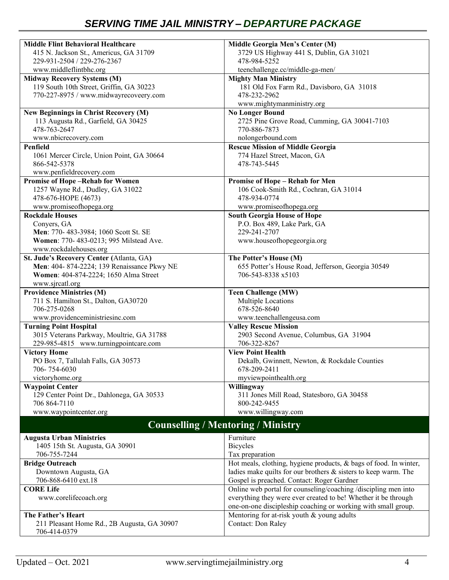| <b>Middle Flint Behavioral Healthcare</b>                         | Middle Georgia Men's Center (M)                                         |
|-------------------------------------------------------------------|-------------------------------------------------------------------------|
| 415 N. Jackson St., Americus, GA 31709                            | 3729 US Highway 441 S, Dublin, GA 31021                                 |
| 229-931-2504 / 229-276-2367                                       | 478-984-5252                                                            |
| www.middleflintbhc.org                                            | teenchallenge.cc/middle-ga-men/                                         |
| <b>Midway Recovery Systems (M)</b>                                | <b>Mighty Man Ministry</b>                                              |
| 119 South 10th Street, Griffin, GA 30223                          | 181 Old Fox Farm Rd., Davisboro, GA 31018                               |
| 770-227-8975 / www.midwayrecoveery.com                            | 478-232-2962                                                            |
|                                                                   | www.mightymanministry.org                                               |
| New Beginnings in Christ Recovery (M)                             | <b>No Longer Bound</b>                                                  |
| 113 Augusta Rd., Garfield, GA 30425                               | 2725 Pine Grove Road, Cumming, GA 30041-7103                            |
| 478-763-2647                                                      | 770-886-7873                                                            |
| www.nbicrecovery.com                                              | nolongerbound.com                                                       |
| Penfield                                                          | <b>Rescue Mission of Middle Georgia</b>                                 |
| 1061 Mercer Circle, Union Point, GA 30664                         | 774 Hazel Street, Macon, GA                                             |
| 866-542-5378                                                      | 478-743-5445                                                            |
| www.penfieldrecovery.com                                          |                                                                         |
| <b>Promise of Hope-Rehab for Women</b>                            | <b>Promise of Hope - Rehab for Men</b>                                  |
| 1257 Wayne Rd., Dudley, GA 31022                                  | 106 Cook-Smith Rd., Cochran, GA 31014                                   |
| 478-676-HOPE (4673)                                               | 478-934-0774                                                            |
| www.promiseofhopega.org                                           | www.promiseofhopega.org                                                 |
| <b>Rockdale Houses</b>                                            | <b>South Georgia House of Hope</b>                                      |
| Convers, GA                                                       | P.O. Box 489, Lake Park, GA                                             |
| Men: 770- 483-3984; 1060 Scott St. SE                             | 229-241-2707                                                            |
| Women: 770- 483-0213; 995 Milstead Ave.                           | www.houseofhopegeorgia.org                                              |
| www.rockdalehouses.org                                            |                                                                         |
| St. Jude's Recovery Center (Atlanta, GA)                          | The Potter's House (M)                                                  |
| Men: 404-874-2224; 139 Renaissance Pkwy NE                        | 655 Potter's House Road, Jefferson, Georgia 30549                       |
| Women: 404-874-2224; 1650 Alma Street                             | 706-543-8338 x5103                                                      |
| www.sjrcatl.org                                                   |                                                                         |
|                                                                   |                                                                         |
|                                                                   |                                                                         |
| <b>Providence Ministries (M)</b>                                  | <b>Teen Challenge (MW)</b>                                              |
| 711 S. Hamilton St., Dalton, GA30720<br>706-275-0268              | Multiple Locations<br>678-526-8640                                      |
|                                                                   |                                                                         |
| www.providenceministriesinc.com                                   | www.teenchallengeusa.com                                                |
| <b>Turning Point Hospital</b>                                     | <b>Valley Rescue Mission</b>                                            |
| 3015 Veterans Parkway, Moultrie, GA 31788                         | 2903 Second Avenue, Columbus, GA 31904                                  |
| 229-985-4815 www.turningpointcare.com                             | 706-322-8267<br><b>View Point Health</b>                                |
| <b>Victory Home</b>                                               |                                                                         |
| PO Box 7, Tallulah Falls, GA 30573<br>706-754-6030                | Dekalb, Gwinnett, Newton, & Rockdale Counties<br>678-209-2411           |
| victoryhome.org                                                   | myviewpointhealth.org                                                   |
|                                                                   |                                                                         |
| <b>Waypoint Center</b>                                            | Willingway                                                              |
| 129 Center Point Dr., Dahlonega, GA 30533<br>706 864-7110         | 311 Jones Mill Road, Statesboro, GA 30458<br>800-242-9455               |
|                                                                   | www.willingway.com                                                      |
| www.waypointcenter.org                                            | <b>Counselling / Mentoring / Ministry</b>                               |
|                                                                   |                                                                         |
| <b>Augusta Urban Ministries</b>                                   | Furniture                                                               |
| 1405 15th St. Augusta, GA 30901                                   | <b>Bicycles</b>                                                         |
| 706-755-7244                                                      | Tax preparation                                                         |
| <b>Bridge Outreach</b>                                            | Hot meals, clothing, hygiene products, & bags of food. In winter,       |
| Downtown Augusta, GA                                              | ladies make quilts for our brothers & sisters to keep warm. The         |
| 706-868-6410 ext.18                                               | Gospel is preached. Contact: Roger Gardner                              |
| <b>CORE</b> Life                                                  | Online web portal for counseling/coaching /discipling men into          |
| www.corelifecoach.org                                             | everything they were ever created to be! Whether it be through          |
|                                                                   | one-on-one discipleship coaching or working with small group.           |
| The Father's Heart<br>211 Pleasant Home Rd., 2B Augusta, GA 30907 | Mentoring for at-risk youth & young adults<br><b>Contact: Don Raley</b> |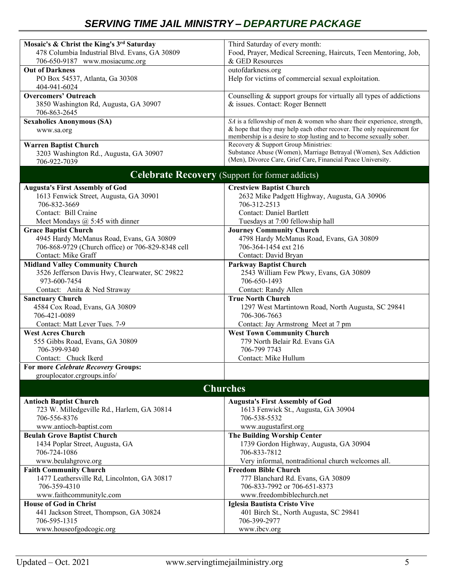# *SERVING TIME JAIL MINISTRY – DEPARTURE PACKAGE*

| Mosaic's & Christ the King's 3rd Saturday         | Third Saturday of every month:                                          |
|---------------------------------------------------|-------------------------------------------------------------------------|
| 478 Columbia Industrial Blvd. Evans, GA 30809     | Food, Prayer, Medical Screening, Haircuts, Teen Mentoring, Job,         |
| 706-650-9187 www.mosiacumc.org                    | & GED Resources                                                         |
| <b>Out of Darkness</b>                            | outofdarkness.org                                                       |
| PO Box 54537, Atlanta, Ga 30308                   | Help for victims of commercial sexual exploitation.                     |
| 404-941-6024                                      |                                                                         |
|                                                   |                                                                         |
| <b>Overcomers' Outreach</b>                       | Counselling & support groups for virtually all types of addictions      |
| 3850 Washington Rd, Augusta, GA 30907             | & issues. Contact: Roger Bennett                                        |
| 706-863-2645                                      |                                                                         |
| <b>Sexaholics Anonymous (SA)</b>                  | SA is a fellowship of men & women who share their experience, strength, |
| www.sa.org                                        | & hope that they may help each other recover. The only requirement for  |
|                                                   | membership is a desire to stop lusting and to become sexually sober.    |
| <b>Warren Baptist Church</b>                      | Recovery & Support Group Ministries:                                    |
| 3203 Washington Rd., Augusta, GA 30907            | Substance Abuse (Women), Marriage Betrayal (Women), Sex Addiction       |
| 706-922-7039                                      | (Men), Divorce Care, Grief Care, Financial Peace University.            |
|                                                   |                                                                         |
|                                                   | <b>Celebrate Recovery</b> (Support for former addicts)                  |
| <b>Augusta's First Assembly of God</b>            | <b>Crestview Baptist Church</b>                                         |
|                                                   |                                                                         |
| 1613 Fenwick Street, Augusta, GA 30901            | 2632 Mike Padgett Highway, Augusta, GA 30906                            |
| 706-832-3669                                      | 706-312-2513                                                            |
| Contact: Bill Craine                              | <b>Contact: Daniel Bartlett</b>                                         |
| Meet Mondays $@$ 5:45 with dinner                 | Tuesdays at 7:00 fellowship hall                                        |
| <b>Grace Baptist Church</b>                       | <b>Journey Community Church</b>                                         |
| 4945 Hardy McManus Road, Evans, GA 30809          | 4798 Hardy McManus Road, Evans, GA 30809                                |
| 706-868-9729 (Church office) or 706-829-8348 cell | 706-364-1454 ext 216                                                    |
| Contact: Mike Graff                               | Contact: David Bryan                                                    |
|                                                   |                                                                         |
| <b>Midland Valley Community Church</b>            | <b>Parkway Baptist Church</b>                                           |
| 3526 Jefferson Davis Hwy, Clearwater, SC 29822    | 2543 William Few Pkwy, Evans, GA 30809                                  |
| 973-600-7454                                      | 706-650-1493                                                            |
| Contact: Anita & Ned Straway                      | Contact: Randy Allen                                                    |
| <b>Sanctuary Church</b>                           | <b>True North Church</b>                                                |
| 4584 Cox Road, Evans, GA 30809                    | 1297 West Martintown Road, North Augusta, SC 29841                      |
| 706-421-0089                                      | 706-306-7663                                                            |
| Contact: Matt Lever Tues. 7-9                     | Contact: Jay Armstrong Meet at 7 pm                                     |
| <b>West Acres Church</b>                          | <b>West Town Community Church</b>                                       |
|                                                   | 779 North Belair Rd. Evans GA                                           |
| 555 Gibbs Road, Evans, GA 30809                   |                                                                         |
| 706-399-9340                                      | 706-799 7743                                                            |
| Contact: Chuck Ikerd                              | Contact: Mike Hullum                                                    |
| For more Celebrate Recovery Groups:               |                                                                         |
| grouplocator.crgroups.info/                       |                                                                         |
|                                                   | <b>Churches</b>                                                         |
|                                                   |                                                                         |
| <b>Antioch Baptist Church</b>                     | <b>Augusta's First Assembly of God</b>                                  |
| 723 W. Milledgeville Rd., Harlem, GA 30814        | 1613 Fenwick St., Augusta, GA 30904                                     |
| 706-556-8376                                      | 706-538-5532                                                            |
| www.antioch-baptist.com                           | www.augustafirst.org                                                    |
| <b>Beulah Grove Baptist Church</b>                | <b>The Building Worship Center</b>                                      |
| 1434 Poplar Street, Augusta, GA                   | 1739 Gordon Highway, Augusta, GA 30904                                  |
| 706-724-1086                                      | 706-833-7812                                                            |
| www.beulahgrove.org                               | Very informal, nontraditional church welcomes all.                      |
| <b>Faith Community Church</b>                     | <b>Freedom Bible Church</b>                                             |
| 1477 Leathersville Rd, Lincolnton, GA 30817       | 777 Blanchard Rd. Evans, GA 30809                                       |
|                                                   |                                                                         |
| 706-359-4310                                      | 706-833-7992 or 706-651-8373                                            |
| www.faithcommunitylc.com                          | www.freedombiblechurch.net                                              |
| <b>House of God in Christ</b>                     | Iglesia Bautista Cristo Vive                                            |
| 441 Jackson Street, Thompson, GA 30824            | 401 Birch St., North Augusta, SC 29841                                  |
| 706-595-1315                                      | 706-399-2977                                                            |
| www.houseofgodcogic.org                           | www.ibcv.org                                                            |
|                                                   |                                                                         |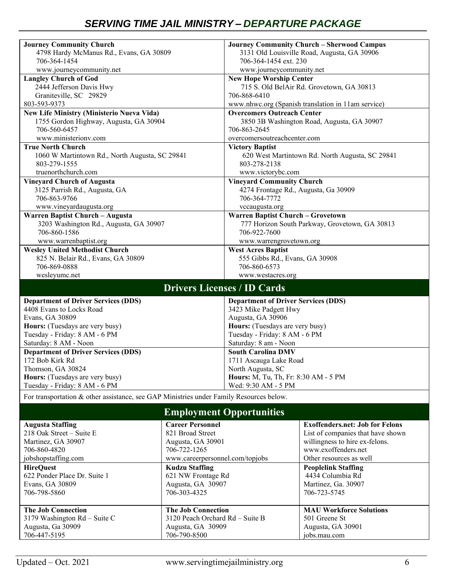| <b>Journey Community Church</b><br>4798 Hardy McManus Rd., Evans, GA 30809<br>706-364-1454 |                                             | 706-364-1454 ext. 230                                     | <b>Journey Community Church - Sherwood Campus</b><br>3131 Old Louisville Road, Augusta, GA 30906 |  |
|--------------------------------------------------------------------------------------------|---------------------------------------------|-----------------------------------------------------------|--------------------------------------------------------------------------------------------------|--|
| www.journeycommunity.net                                                                   |                                             | www.journeycommunity.net                                  |                                                                                                  |  |
| <b>Langley Church of God</b>                                                               |                                             | <b>New Hope Worship Center</b>                            |                                                                                                  |  |
| 2444 Jefferson Davis Hwy                                                                   |                                             | 715 S. Old BelAir Rd. Grovetown, GA 30813                 |                                                                                                  |  |
| Graniteville, SC 29829                                                                     |                                             | 706-868-6410                                              |                                                                                                  |  |
| 803-593-9373                                                                               |                                             | www.nhwc.org (Spanish translation in 11am service)        |                                                                                                  |  |
| <b>New Life Ministry (Ministerio Nueva Vida)</b>                                           |                                             | <b>Overcomers Outreach Center</b>                         |                                                                                                  |  |
| 1755 Gordon Highway, Augusta, GA 30904                                                     |                                             |                                                           | 3850 3B Washington Road, Augusta, GA 30907                                                       |  |
| 706-560-6457                                                                               |                                             | 706-863-2645                                              |                                                                                                  |  |
| www.ministerionv.com<br><b>True North Church</b>                                           |                                             | overcomersoutreachcenter.com<br><b>Victory Baptist</b>    |                                                                                                  |  |
| 1060 W Martintown Rd., North Augusta, SC 29841                                             |                                             |                                                           | 620 West Martintown Rd. North Augusta, SC 29841                                                  |  |
| 803-279-1555<br>truenorthchurch.com                                                        |                                             | 803-278-2138                                              |                                                                                                  |  |
|                                                                                            |                                             | www.victorybc.com                                         |                                                                                                  |  |
| <b>Vineyard Church of Augusta</b><br>3125 Parrish Rd., Augusta, GA                         |                                             | <b>Vineyard Community Church</b>                          |                                                                                                  |  |
| 706-863-9766                                                                               |                                             | 4274 Frontage Rd., Augusta, Ga 30909<br>706-364-7772      |                                                                                                  |  |
| www.vineyardaugusta.org                                                                    |                                             | vccaugusta.org                                            |                                                                                                  |  |
| Warren Baptist Church - Augusta                                                            |                                             | Warren Baptist Church - Grovetown                         |                                                                                                  |  |
| 3203 Washington Rd., Augusta, GA 30907                                                     |                                             |                                                           | 777 Horizon South Parkway, Grovetown, GA 30813                                                   |  |
| 706-860-1586                                                                               |                                             | 706-922-7600                                              |                                                                                                  |  |
| www.warrenbaptist.org                                                                      |                                             | www.warrengrovetown.org                                   |                                                                                                  |  |
| <b>Wesley United Methodist Church</b>                                                      |                                             | <b>West Acres Baptist</b>                                 |                                                                                                  |  |
| 825 N. Belair Rd., Evans, GA 30809                                                         |                                             | 555 Gibbs Rd., Evans, GA 30908                            |                                                                                                  |  |
| 706-869-0888                                                                               |                                             | 706-860-6573                                              |                                                                                                  |  |
| wesleyumc.net                                                                              |                                             | www.westacres.org                                         |                                                                                                  |  |
|                                                                                            | <b>Drivers Licenses / ID Cards</b>          |                                                           |                                                                                                  |  |
| <b>Department of Driver Services (DDS)</b>                                                 |                                             | <b>Department of Driver Services (DDS)</b>                |                                                                                                  |  |
| 4408 Evans to Locks Road                                                                   |                                             | 3423 Mike Padgett Hwy                                     |                                                                                                  |  |
| Evans, GA 30809                                                                            |                                             | Augusta, GA 30906                                         |                                                                                                  |  |
| Hours: (Tuesdays are very busy)                                                            |                                             | Hours: (Tuesdays are very busy)                           |                                                                                                  |  |
| Tuesday - Friday: 8 AM - 6 PM                                                              |                                             | Tuesday - Friday: 8 AM - 6 PM                             |                                                                                                  |  |
| Saturday: 8 AM - Noon                                                                      |                                             | Saturday: 8 am - Noon                                     |                                                                                                  |  |
| <b>Department of Driver Services (DDS)</b><br>172 Bob Kirk Rd                              |                                             | <b>South Carolina DMV</b>                                 |                                                                                                  |  |
|                                                                                            |                                             | 1711 Ascauga Lake Road                                    |                                                                                                  |  |
| Thomson, GA 30824<br>Hours: (Tuesdays are very busy)                                       |                                             | North Augusta, SC<br>Hours: M, Tu, Th, Fr: 8:30 AM - 5 PM |                                                                                                  |  |
| Tuesday - Friday: 8 AM - 6 PM                                                              |                                             | Wed: 9:30 AM - 5 PM                                       |                                                                                                  |  |
|                                                                                            |                                             |                                                           |                                                                                                  |  |
| For transportation & other assistance, see GAP Ministries under Family Resources below.    |                                             |                                                           |                                                                                                  |  |
| <b>Employment Opportunities</b>                                                            |                                             |                                                           |                                                                                                  |  |
| <b>Augusta Staffing</b><br>218 Oak Street - Suite E                                        | <b>Career Personnel</b><br>821 Broad Street |                                                           | <b>Exoffenders.net: Job for Felons</b>                                                           |  |
| Martinez, GA 30907                                                                         | Augusta, GA 30901                           |                                                           | List of companies that have shown<br>willingness to hire ex-felons.                              |  |
| 706-860-4820                                                                               | 706-722-1265                                |                                                           | www.exoffenders.net                                                                              |  |
| jobshopstaffing.com                                                                        | www.careerpersonnel.com/topjobs             |                                                           | Other resources as well                                                                          |  |
| <b>HireQuest</b>                                                                           | <b>Kudzu Staffing</b>                       |                                                           | <b>Peoplelink Staffing</b>                                                                       |  |
| 622 Ponder Place Dr. Suite 1                                                               | 621 NW Frontage Rd                          |                                                           | 4434 Columbia Rd                                                                                 |  |
| Evans, GA 30809                                                                            | Augusta, GA 30907                           |                                                           | Martinez, Ga. 30907                                                                              |  |
| 706-798-5860                                                                               | 706-303-4325                                |                                                           | 706-723-5745                                                                                     |  |
| <b>The Job Connection</b>                                                                  | <b>The Job Connection</b>                   |                                                           | <b>MAU Workforce Solutions</b>                                                                   |  |
| 3179 Washington Rd - Suite C                                                               | 3120 Peach Orchard Rd - Suite B             |                                                           | 501 Greene St                                                                                    |  |
| Augusta, Ga 30909<br>Augusta, GA 30909                                                     |                                             |                                                           | Augusta, GA 30901                                                                                |  |
| 706-447-5195                                                                               | 706-790-8500                                |                                                           | jobs.mau.com                                                                                     |  |
|                                                                                            |                                             |                                                           |                                                                                                  |  |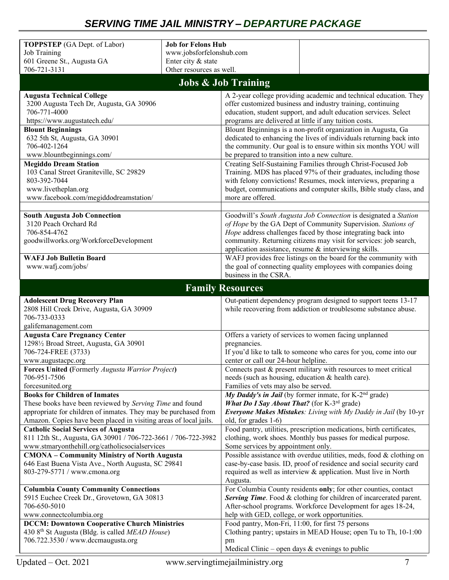# *SERVING TIME JAIL MINISTRY – DEPARTURE PACKAGE*

| <b>TOPPSTEP</b> (GA Dept. of Labor)                                 | <b>Job for Felons Hub</b>                                                                                                              |
|---------------------------------------------------------------------|----------------------------------------------------------------------------------------------------------------------------------------|
| Job Training                                                        | www.jobsforfelonshub.com                                                                                                               |
| 601 Greene St., Augusta GA                                          | Enter city & state                                                                                                                     |
| 706-721-3131                                                        | Other resources as well.                                                                                                               |
|                                                                     |                                                                                                                                        |
|                                                                     | <b>Jobs &amp; Job Training</b>                                                                                                         |
| <b>Augusta Technical College</b>                                    | A 2-year college providing academic and technical education. They                                                                      |
| 3200 Augusta Tech Dr, Augusta, GA 30906                             | offer customized business and industry training, continuing                                                                            |
| 706-771-4000                                                        | education, student support, and adult education services. Select                                                                       |
| https://www.augustatech.edu/                                        | programs are delivered at little if any tuition costs.                                                                                 |
| <b>Blount Beginnings</b>                                            | Blount Beginnings is a non-profit organization in Augusta, Ga                                                                          |
| 632 5th St, Augusta, GA 30901<br>706-402-1264                       | dedicated to enhancing the lives of individuals returning back into<br>the community. Our goal is to ensure within six months YOU will |
| www.blountbeginnings.com/                                           | be prepared to transition into a new culture.                                                                                          |
| <b>Megiddo Dream Station</b>                                        | Creating Self-Sustaining Families through Christ-Focused Job                                                                           |
| 103 Canal Street Graniteville, SC 29829                             | Training. MDS has placed 97% of their graduates, including those                                                                       |
| 803-392-7044                                                        | with felony convictions! Resumes, mock interviews, preparing a                                                                         |
| www.livetheplan.org                                                 | budget, communications and computer skills, Bible study class, and                                                                     |
| www.facebook.com/megiddodreamstation/                               | more are offered.                                                                                                                      |
|                                                                     |                                                                                                                                        |
| <b>South Augusta Job Connection</b>                                 | Goodwill's South Augusta Job Connection is designated a Station                                                                        |
| 3120 Peach Orchard Rd                                               | of Hope by the GA Dept of Community Supervision. Stations of                                                                           |
| 706-854-4762                                                        | Hope address challenges faced by those integrating back into                                                                           |
| goodwillworks.org/WorkforceDevelopment                              | community. Returning citizens may visit for services: job search,                                                                      |
|                                                                     | application assistance, resume & interviewing skills.                                                                                  |
| <b>WAFJ Job Bulletin Board</b>                                      | WAFJ provides free listings on the board for the community with                                                                        |
| www.wafj.com/jobs/                                                  | the goal of connecting quality employees with companies doing                                                                          |
|                                                                     | business in the CSRA.                                                                                                                  |
|                                                                     | <b>Family Resources</b>                                                                                                                |
|                                                                     |                                                                                                                                        |
| <b>Adolescent Drug Recovery Plan</b>                                | Out-patient dependency program designed to support teens 13-17                                                                         |
| 2808 Hill Creek Drive, Augusta, GA 30909                            | while recovering from addiction or troublesome substance abuse.                                                                        |
| 706-733-0333                                                        |                                                                                                                                        |
| galifemanagement.com                                                |                                                                                                                                        |
| <b>Augusta Care Pregnancy Center</b>                                | Offers a variety of services to women facing unplanned                                                                                 |
| 12981/2 Broad Street, Augusta, GA 30901                             | pregnancies.                                                                                                                           |
| 706-724-FREE (3733)                                                 | If you'd like to talk to someone who cares for you, come into our                                                                      |
| www.augustacpc.org                                                  | center or call our 24-hour helpline.                                                                                                   |
| <b>Forces United (Formerly Augusta Warrior Project)</b>             | Connects past & present military with resources to meet critical                                                                       |
| 706-951-7506                                                        | needs (such as housing, education & health care).                                                                                      |
| forcesunited.org                                                    | Families of vets may also be served.                                                                                                   |
| <b>Books for Children of Inmates</b>                                | My Daddy's in Jail (by former inmate, for K-2 <sup>nd</sup> grade)                                                                     |
| These books have been reviewed by Serving Time and found            | What Do I Say About That? (for K-3 <sup>rd</sup> grade)                                                                                |
| appropriate for children of inmates. They may be purchased from     | Everyone Makes Mistakes: Living with My Daddy in Jail (by 10-yr                                                                        |
| Amazon. Copies have been placed in visiting areas of local jails.   | old, for grades 1-6)                                                                                                                   |
| <b>Catholic Social Services of Augusta</b>                          | Food pantry, utilities, prescription medications, birth certificates,                                                                  |
| 811 12th St., Augusta, GA 30901 / 706-722-3661 / 706-722-3982       | clothing, work shoes. Monthly bus passes for medical purpose.                                                                          |
| www.stmaryonthehill.org/catholicsocialservices                      | Some services by appointment only.                                                                                                     |
| <b>CMONA - Community Ministry of North Augusta</b>                  | Possible assistance with overdue utilities, meds, food & clothing on                                                                   |
| 646 East Buena Vista Ave., North Augusta, SC 29841                  | case-by-case basis. ID, proof of residence and social security card                                                                    |
| 803-279-5771 / www.cmona.org                                        | required as well as interview & application. Must live in North                                                                        |
| <b>Columbia County Community Connections</b>                        | Augusta.<br>For Columbia County residents only; for other counties, contact                                                            |
| 5915 Euchee Creek Dr., Grovetown, GA 30813                          | Serving Time. Food & clothing for children of incarcerated parent.                                                                     |
| 706-650-5010                                                        | After-school programs. Workforce Development for ages 18-24,                                                                           |
| www.connectcolumbia.org                                             | help with GED, college, or work opportunities.                                                                                         |
| <b>DCCM: Downtown Cooperative Church Ministries</b>                 | Food pantry, Mon-Fri, 11:00, for first 75 persons                                                                                      |
| 430 8 <sup>th</sup> St Augusta (Bldg. is called <i>MEAD House</i> ) | Clothing pantry; upstairs in MEAD House; open Tu to Th, 10-1:00                                                                        |
| 706.722.3530 / www.dccmaugusta.org                                  | pm<br>Medical Clinic - open days & evenings to public                                                                                  |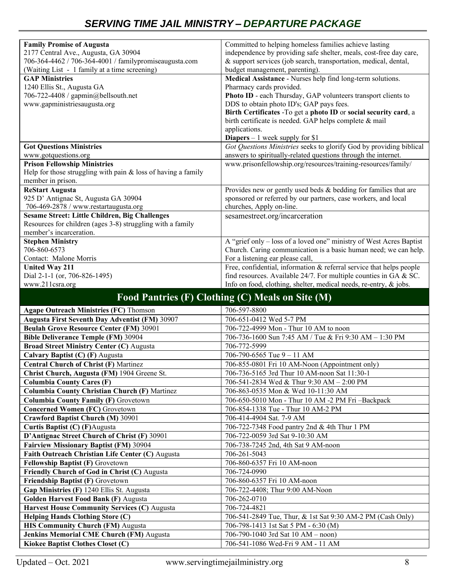## *SERVING TIME JAIL MINISTRY – DEPARTURE PACKAGE*

| <b>Family Promise of Augusta</b>                                                        | Committed to helping homeless families achieve lasting               |
|-----------------------------------------------------------------------------------------|----------------------------------------------------------------------|
| 2177 Central Ave., Augusta, GA 30904                                                    | independence by providing safe shelter, meals, cost-free day care,   |
| 706-364-4462 / 706-364-4001 / familypromiseaugusta.com                                  | & support services (job search, transportation, medical, dental,     |
| (Waiting List - 1 family at a time screening)                                           | budget management, parenting).                                       |
| <b>GAP Ministries</b>                                                                   | Medical Assistance - Nurses help find long-term solutions.           |
| 1240 Ellis St., Augusta GA                                                              | Pharmacy cards provided.                                             |
| 706-722-4408 / gapmin@bellsouth.net                                                     | Photo ID - each Thursday, GAP volunteers transport clients to        |
| www.gapministriesaugusta.org                                                            | DDS to obtain photo ID's; GAP pays fees.                             |
|                                                                                         | Birth Certificates -To get a photo ID or social security card, a     |
|                                                                                         | birth certificate is needed. GAP helps complete & mail               |
|                                                                                         | applications.<br><b>Diapers</b> $-1$ week supply for \$1             |
| <b>Got Questions Ministries</b>                                                         | Got Questions Ministries seeks to glorify God by providing biblical  |
| www.gotquestions.org                                                                    | answers to spiritually-related questions through the internet.       |
| <b>Prison Fellowship Ministries</b>                                                     | www.prisonfellowship.org/resources/training-resources/family/        |
| Help for those struggling with pain $&$ loss of having a family                         |                                                                      |
| member in prison.                                                                       |                                                                      |
| <b>ReStart Augusta</b>                                                                  | Provides new or gently used beds & bedding for families that are     |
| 925 D' Antignac St, Augusta GA 30904                                                    | sponsored or referred by our partners, case workers, and local       |
| 706-469-2878 / www.restartaugusta.org                                                   | churches, Apply on-line.                                             |
| <b>Sesame Street: Little Children, Big Challenges</b>                                   | sesamestreet.org/incarceration                                       |
| Resources for children (ages 3-8) struggling with a family                              |                                                                      |
| member's incarceration.                                                                 |                                                                      |
| <b>Stephen Ministry</b>                                                                 | A "grief only - loss of a loved one" ministry of West Acres Baptist  |
| 706-860-6573                                                                            | Church. Caring communication is a basic human need; we can help.     |
| Contact: Malone Morris                                                                  | For a listening ear please call,                                     |
| <b>United Way 211</b>                                                                   | Free, confidential, information & referral service that helps people |
| Dial 2-1-1 (or, 706-826-1495)                                                           | find resources. Available 24/7. For multiple counties in GA & SC.    |
|                                                                                         | Info on food, clothing, shelter, medical needs, re-entry, & jobs.    |
| www.211csra.org                                                                         |                                                                      |
|                                                                                         | Food Pantries (F) Clothing (C) Meals on Site (M)                     |
| <b>Agape Outreach Ministries (FC) Thomson</b>                                           | 706-597-8800                                                         |
| Augusta First Seventh Day Adventist (FM) 30907                                          | 706-651-0412 Wed 5-7 PM                                              |
| <b>Beulah Grove Resource Center (FM) 30901</b>                                          | 706-722-4999 Mon - Thur 10 AM to noon                                |
| <b>Bible Deliverance Temple (FM) 30904</b>                                              | 706-736-1600 Sun 7:45 AM / Tue & Fri 9:30 AM - 1:30 PM               |
| <b>Broad Street Ministry Center (C) Augusta</b>                                         | 706-772-5999                                                         |
| Calvary Baptist (C) (F) Augusta                                                         | 706-790-6565 Tue $9 - 11$ AM                                         |
| <b>Central Church of Christ (F) Martinez</b>                                            | 706-855-0801 Fri 10 AM-Noon (Appointment only)                       |
| Christ Church, Augusta (FM) 1904 Greene St.                                             | 706-736-5165 3rd Thur 10 AM-noon Sat 11:30-1                         |
| <b>Columbia County Cares (F)</b>                                                        | 706-541-2834 Wed & Thur 9:30 AM - 2:00 PM                            |
| <b>Columbia County Christian Church (F) Martinez</b>                                    | 706-863-0535 Mon & Wed 10-11:30 AM                                   |
| <b>Columbia County Family (F) Grovetown</b>                                             | 706-650-5010 Mon - Thur 10 AM -2 PM Fri -Backpack                    |
| <b>Concerned Women (FC)</b> Grovetown                                                   | 706-854-1338 Tue - Thur 10 AM-2 PM                                   |
| <b>Crawford Baptist Church (M) 30901</b>                                                | 706-414-4904 Sat. 7-9 AM                                             |
| Curtis Baptist (C) (F)Augusta                                                           | 706-722-7348 Food pantry 2nd & 4th Thur 1 PM                         |
| D'Antignac Street Church of Christ (F) 30901                                            | 706-722-0059 3rd Sat 9-10:30 AM                                      |
| <b>Fairview Missionary Baptist (FM) 30904</b>                                           | 706-738-7245 2nd, 4th Sat 9 AM-noon                                  |
| Faith Outreach Christian Life Center (C) Augusta                                        | 706-261-5043                                                         |
| Fellowship Baptist (F) Grovetown                                                        | 706-860-6357 Fri 10 AM-noon                                          |
| Friendly Church of God in Christ (C) Augusta                                            | 706-724-0990                                                         |
| Friendship Baptist (F) Grovetown                                                        | 706-860-6357 Fri 10 AM-noon                                          |
| Gap Ministries (F) 1240 Ellis St. Augusta                                               | 706-722-4408; Thur 9:00 AM-Noon                                      |
| Golden Harvest Food Bank (F) Augusta                                                    | 706-262-0710                                                         |
|                                                                                         | 706-724-4821                                                         |
| Harvest House Community Services (C) Augusta<br><b>Helping Hands Clothing Store (C)</b> | 706-541-2849 Tue, Thur, & 1st Sat 9:30 AM-2 PM (Cash Only)           |
| <b>HIS Community Church (FM) Augusta</b>                                                | 706-798-1413 1st Sat 5 PM - 6:30 (M)                                 |

**Jenkins Memorial CME Church (FM)** Augusta  $706-790-1040$  3rd Sat 10 AM – noon) **Kiokee Baptist Clothes Closet (C)** 706-541-1086 Wed-Fri 9 AM - 11 AM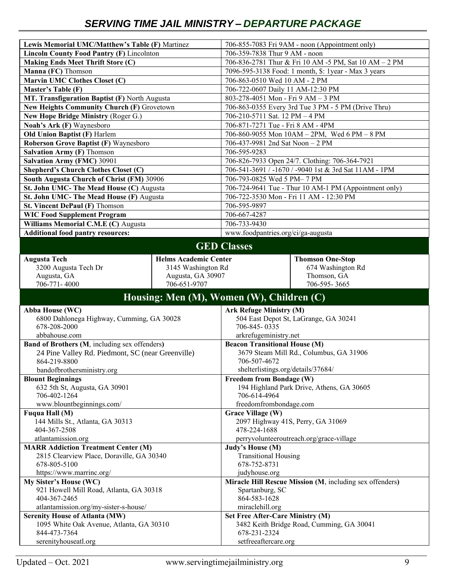| Lewis Memorial UMC/Matthew's Table (F) Martinez   |                                           |                                                     | 706-855-7083 Fri 9AM - noon (Appointment only)           |  |
|---------------------------------------------------|-------------------------------------------|-----------------------------------------------------|----------------------------------------------------------|--|
| Lincoln County Food Pantry (F) Lincolnton         |                                           | 706-359-7838 Thur 9 AM - noon                       |                                                          |  |
| <b>Making Ends Meet Thrift Store (C)</b>          |                                           |                                                     | 706-836-2781 Thur & Fri 10 AM -5 PM, Sat 10 AM - 2 PM    |  |
| Manna (FC) Thomson                                |                                           |                                                     | 7096-595-3138 Food: 1 month, \$: 1year - Max 3 years     |  |
| <b>Marvin UMC Clothes Closet (C)</b>              |                                           | 706-863-0510 Wed 10 AM - 2 PM                       |                                                          |  |
| Master's Table (F)                                |                                           | 706-722-0607 Daily 11 AM-12:30 PM                   |                                                          |  |
| MT. Transfiguration Baptist (F) North Augusta     |                                           | 803-278-4051 Mon - Fri 9 AM - 3 PM                  |                                                          |  |
| New Heights Community Church (F) Grovetown        |                                           | 706-863-0355 Every 3rd Tue 3 PM - 5 PM (Drive Thru) |                                                          |  |
| New Hope Bridge Ministry (Roger G.)               |                                           | 706-210-5711 Sat. 12 PM - 4 PM                      |                                                          |  |
| Noah's Ark (F) Waynesboro                         |                                           | 706-871-7271 Tue - Fri 8 AM - 4PM                   |                                                          |  |
| Old Union Baptist (F) Harlem                      |                                           |                                                     | 706-860-9055 Mon 10AM - 2PM, Wed 6 PM - 8 PM             |  |
| <b>Roberson Grove Baptist (F) Waynesboro</b>      |                                           | 706-437-9981 2nd Sat Noon - 2 PM                    |                                                          |  |
| <b>Salvation Army (F)</b> Thomson                 |                                           | 706-595-9283                                        |                                                          |  |
| <b>Salvation Army (FMC) 30901</b>                 |                                           |                                                     | 706-826-7933 Open 24/7. Clothing: 706-364-7921           |  |
| <b>Shepherd's Church Clothes Closet (C)</b>       |                                           |                                                     | 706-541-3691 / -1670 / -9040 1st & 3rd Sat 11AM - 1PM    |  |
| South Augusta Church of Christ (FM) 30906         |                                           | 706-793-0825 Wed 5 PM-7 PM                          |                                                          |  |
| St. John UMC- The Mead House (C) Augusta          |                                           |                                                     | 706-724-9641 Tue - Thur 10 AM-1 PM (Appointment only)    |  |
| St. John UMC- The Mead House (F) Augusta          |                                           |                                                     | 706-722-3530 Mon - Fri 11 AM - 12:30 PM                  |  |
| St. Vincent DePaul (F) Thomson                    |                                           | 706-595-9897                                        |                                                          |  |
| <b>WIC Food Supplement Program</b>                |                                           | 706-667-4287                                        |                                                          |  |
| Williams Memorial C.M.E (C) Augusta               |                                           | 706-733-9430                                        |                                                          |  |
| <b>Additional food pantry resources:</b>          |                                           | www.foodpantries.org/ci/ga-augusta                  |                                                          |  |
|                                                   |                                           |                                                     |                                                          |  |
|                                                   |                                           | <b>GED Classes</b>                                  |                                                          |  |
| <b>Augusta Tech</b>                               | <b>Helms Academic Center</b>              |                                                     | <b>Thomson One-Stop</b>                                  |  |
| 3200 Augusta Tech Dr                              | 3145 Washington Rd                        |                                                     | 674 Washington Rd                                        |  |
| Augusta, GA                                       | Augusta, GA 30907                         |                                                     | Thomson, GA                                              |  |
|                                                   |                                           |                                                     |                                                          |  |
| 706-771-4000                                      | 706-651-9707                              |                                                     | 706-595-3665                                             |  |
|                                                   |                                           |                                                     |                                                          |  |
|                                                   | Housing: Men (M), Women (W), Children (C) |                                                     |                                                          |  |
| Abba House (WC)                                   |                                           | <b>Ark Refuge Ministry (M)</b>                      |                                                          |  |
| 6800 Dahlonega Highway, Cumming, GA 30028         |                                           |                                                     | 504 East Depot St, LaGrange, GA 30241                    |  |
| 678-208-2000                                      |                                           | 706-845-0335                                        |                                                          |  |
| abbahouse.com                                     |                                           | arkrefugeministry.net                               |                                                          |  |
| Band of Brothers (M, including sex offenders)     |                                           | <b>Beacon Transitional House (M)</b>                |                                                          |  |
| 24 Pine Valley Rd. Piedmont, SC (near Greenville) |                                           |                                                     | 3679 Steam Mill Rd., Columbus, GA 31906                  |  |
| 864-219-8800                                      |                                           | 706-507-4672                                        |                                                          |  |
| bandofbrothersministry.org                        |                                           | shelterlistings.org/details/37684/                  |                                                          |  |
| <b>Blount Beginnings</b>                          |                                           | Freedom from Bondage (W)                            |                                                          |  |
| 632 5th St, Augusta, GA 30901                     |                                           |                                                     | 194 Highland Park Drive, Athens, GA 30605                |  |
| 706-402-1264                                      |                                           | 706-614-4964                                        |                                                          |  |
| www.blountbeginnings.com/                         |                                           | freedomfrombondage.com                              |                                                          |  |
| Fuqua Hall (M)                                    |                                           | <b>Grace Village (W)</b>                            |                                                          |  |
| 144 Mills St., Atlanta, GA 30313                  |                                           |                                                     | 2097 Highway 41S, Perry, GA 31069                        |  |
| 404-367-2508                                      |                                           | 478-224-1688                                        |                                                          |  |
| atlantamission.org                                |                                           |                                                     | perryvolunteeroutreach.org/grace-village                 |  |
| <b>MARR Addiction Treatment Center (M)</b>        |                                           | Judy's House (M)                                    |                                                          |  |
| 2815 Clearview Place, Doraville, GA 30340         |                                           | <b>Transitional Housing</b>                         |                                                          |  |
| 678-805-5100                                      |                                           | 678-752-8731                                        |                                                          |  |
| https://www.marrinc.org/                          |                                           | judyhouse.org                                       |                                                          |  |
| My Sister's House (WC)                            |                                           |                                                     | Miracle Hill Rescue Mission (M, including sex offenders) |  |
| 921 Howell Mill Road, Atlanta, GA 30318           |                                           | Spartanburg, SC                                     |                                                          |  |
| 404-367-2465                                      |                                           | 864-583-1628                                        |                                                          |  |
| atlantamission.org/my-sister-s-house/             |                                           | miraclehill.org                                     |                                                          |  |
| <b>Serenity House of Atlanta (MW)</b>             |                                           | <b>Set Free After-Care Ministry (M)</b>             |                                                          |  |
| 1095 White Oak Avenue, Atlanta, GA 30310          |                                           |                                                     | 3482 Keith Bridge Road, Cumming, GA 30041                |  |
| 844-473-7364<br>serenityhouseatl.org              |                                           | 678-231-2324<br>setfreeaftercare.org                |                                                          |  |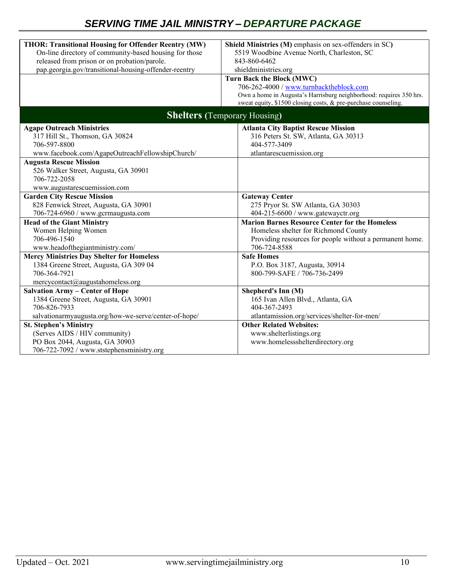| <b>THOR: Transitional Housing for Offender Reentry (MW)</b>                                           | Shield Ministries (M) emphasis on sex-offenders in SC)                                                                               |  |
|-------------------------------------------------------------------------------------------------------|--------------------------------------------------------------------------------------------------------------------------------------|--|
| On-line directory of community-based housing for those                                                | 5519 Woodbine Avenue North, Charleston, SC                                                                                           |  |
| released from prison or on probation/parole.<br>pap.georgia.gov/transitional-housing-offender-reentry | 843-860-6462                                                                                                                         |  |
|                                                                                                       | shieldministries.org                                                                                                                 |  |
|                                                                                                       | Turn Back the Block (MWC)                                                                                                            |  |
|                                                                                                       | 706-262-4000 / www.turnbacktheblock.com                                                                                              |  |
|                                                                                                       | Own a home in Augusta's Harrisburg neighborhood: requires 350 hrs.<br>sweat equity, \$1500 closing costs, & pre-purchase counseling. |  |
|                                                                                                       |                                                                                                                                      |  |
|                                                                                                       | <b>Shelters</b> (Temporary Housing)                                                                                                  |  |
| <b>Agape Outreach Ministries</b>                                                                      | <b>Atlanta City Baptist Rescue Mission</b>                                                                                           |  |
| 317 Hill St., Thomson, GA 30824                                                                       | 316 Peters St. SW, Atlanta, GA 30313                                                                                                 |  |
| 706-597-8800                                                                                          | 404-577-3409                                                                                                                         |  |
| www.facebook.com/AgapeOutreachFellowshipChurch/                                                       | atlantarescuemission.org                                                                                                             |  |
| <b>Augusta Rescue Mission</b>                                                                         |                                                                                                                                      |  |
| 526 Walker Street, Augusta, GA 30901                                                                  |                                                                                                                                      |  |
| 706-722-2058                                                                                          |                                                                                                                                      |  |
| www.augustarescuemission.com                                                                          |                                                                                                                                      |  |
| <b>Garden City Rescue Mission</b>                                                                     | <b>Gateway Center</b>                                                                                                                |  |
| 828 Fenwick Street, Augusta, GA 30901                                                                 | 275 Pryor St. SW Atlanta, GA 30303                                                                                                   |  |
| 706-724-6960 / www.gcrmaugusta.com                                                                    | 404-215-6600 / www.gatewayctr.org                                                                                                    |  |
| <b>Head of the Giant Ministry</b>                                                                     | <b>Marion Barnes Resource Center for the Homeless</b>                                                                                |  |
| Women Helping Women                                                                                   | Homeless shelter for Richmond County                                                                                                 |  |
| 706-496-1540                                                                                          | Providing resources for people without a permanent home.                                                                             |  |
| www.headofthegiantministry.com/                                                                       | 706-724-8588                                                                                                                         |  |
| <b>Mercy Ministries Day Shelter for Homeless</b>                                                      | <b>Safe Homes</b>                                                                                                                    |  |
| 1384 Greene Street, Augusta, GA 309 04                                                                | P.O. Box 3187, Augusta, 30914                                                                                                        |  |
| 706-364-7921                                                                                          | 800-799-SAFE / 706-736-2499                                                                                                          |  |
| mercycontact@augustahomeless.org                                                                      |                                                                                                                                      |  |
| <b>Salvation Army - Center of Hope</b>                                                                | Shepherd's Inn (M)                                                                                                                   |  |
| 1384 Greene Street, Augusta, GA 30901                                                                 | 165 Ivan Allen Blvd., Atlanta, GA                                                                                                    |  |
| 706-826-7933                                                                                          | 404-367-2493                                                                                                                         |  |
| salvationarmyaugusta.org/how-we-serve/center-of-hope/                                                 | atlantamission.org/services/shelter-for-men/                                                                                         |  |
| <b>St. Stephen's Ministry</b>                                                                         | <b>Other Related Websites:</b>                                                                                                       |  |
| (Serves AIDS / HIV community)                                                                         | www.shelterlistings.org                                                                                                              |  |
| PO Box 2044, Augusta, GA 30903                                                                        | www.homelessshelterdirectory.org                                                                                                     |  |
| 706-722-7092 / www.ststephensministry.org                                                             |                                                                                                                                      |  |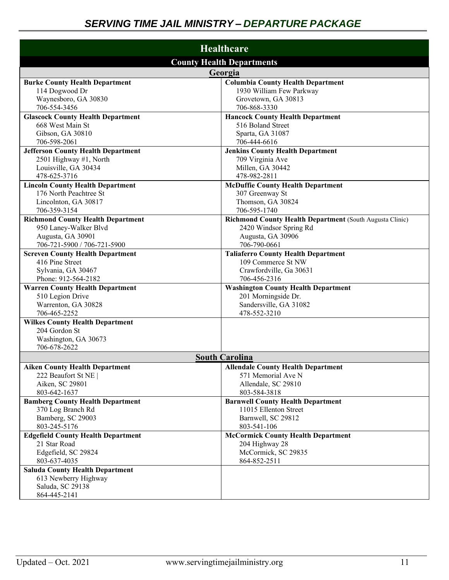| <b>Healthcare</b>                                                 |                                                                 |  |
|-------------------------------------------------------------------|-----------------------------------------------------------------|--|
| <b>County Health Departments</b>                                  |                                                                 |  |
| Georgia                                                           |                                                                 |  |
| <b>Burke County Health Department</b>                             | <b>Columbia County Health Department</b>                        |  |
| 114 Dogwood Dr                                                    | 1930 William Few Parkway                                        |  |
| Waynesboro, GA 30830                                              | Grovetown, GA 30813                                             |  |
| 706-554-3456                                                      | 706-868-3330                                                    |  |
| <b>Glascock County Health Department</b>                          | <b>Hancock County Health Department</b>                         |  |
| 668 West Main St                                                  | 516 Boland Street                                               |  |
| Gibson, GA 30810                                                  | Sparta, GA 31087                                                |  |
| 706-598-2061                                                      | 706-444-6616                                                    |  |
| <b>Jefferson County Health Department</b>                         | <b>Jenkins County Health Department</b>                         |  |
| 2501 Highway #1, North                                            | 709 Virginia Ave                                                |  |
| Louisville, GA 30434                                              | Millen, GA 30442                                                |  |
| 478-625-3716                                                      | 478-982-2811                                                    |  |
| <b>Lincoln County Health Department</b><br>176 North Peachtree St | <b>McDuffie County Health Department</b>                        |  |
|                                                                   | 307 Greenway St                                                 |  |
| Lincolnton, GA 30817<br>706-359-3154                              | Thomson, GA 30824<br>706-595-1740                               |  |
| <b>Richmond County Health Department</b>                          | <b>Richmond County Health Department (South Augusta Clinic)</b> |  |
| 950 Laney-Walker Blvd                                             | 2420 Windsor Spring Rd                                          |  |
| Augusta, GA 30901                                                 | Augusta, GA 30906                                               |  |
| 706-721-5900 / 706-721-5900                                       | 706-790-0661                                                    |  |
| <b>Screven County Health Department</b>                           | <b>Taliaferro County Health Department</b>                      |  |
| 416 Pine Street                                                   | 109 Commerce St NW                                              |  |
| Sylvania, GA 30467                                                | Crawfordville, Ga 30631                                         |  |
| Phone: 912-564-2182                                               | 706-456-2316                                                    |  |
| <b>Warren County Health Department</b>                            | <b>Washington County Health Department</b>                      |  |
| 510 Legion Drive                                                  | 201 Morningside Dr.                                             |  |
| Warrenton, GA 30828                                               | Sandersville, GA 31082                                          |  |
| 706-465-2252                                                      | 478-552-3210                                                    |  |
| <b>Wilkes County Health Department</b>                            |                                                                 |  |
| 204 Gordon St                                                     |                                                                 |  |
| Washington, GA 30673                                              |                                                                 |  |
| 706-678-2622                                                      |                                                                 |  |
| <b>South Carolina</b>                                             |                                                                 |  |
| <b>Aiken County Health Department</b>                             | <b>Allendale County Health Department</b>                       |  |
| 222 Beaufort St NE                                                | 571 Memorial Ave N                                              |  |
| Aiken, SC 29801                                                   | Allendale, SC 29810                                             |  |
| 803-642-1637                                                      | 803-584-3818                                                    |  |
| <b>Bamberg County Health Department</b>                           | <b>Barnwell County Health Department</b>                        |  |
| 370 Log Branch Rd<br>Bamberg, SC 29003                            | 11015 Ellenton Street<br>Barnwell, SC 29812                     |  |
| 803-245-5176                                                      | 803-541-106                                                     |  |
| <b>Edgefield County Health Department</b>                         | <b>McCormick County Health Department</b>                       |  |
| 21 Star Road                                                      | 204 Highway 28                                                  |  |
| Edgefield, SC 29824                                               | McCormick, SC 29835                                             |  |
| 803-637-4035                                                      | 864-852-2511                                                    |  |
| <b>Saluda County Health Department</b>                            |                                                                 |  |
| 613 Newberry Highway                                              |                                                                 |  |
| Saluda, SC 29138                                                  |                                                                 |  |
| 864-445-2141                                                      |                                                                 |  |